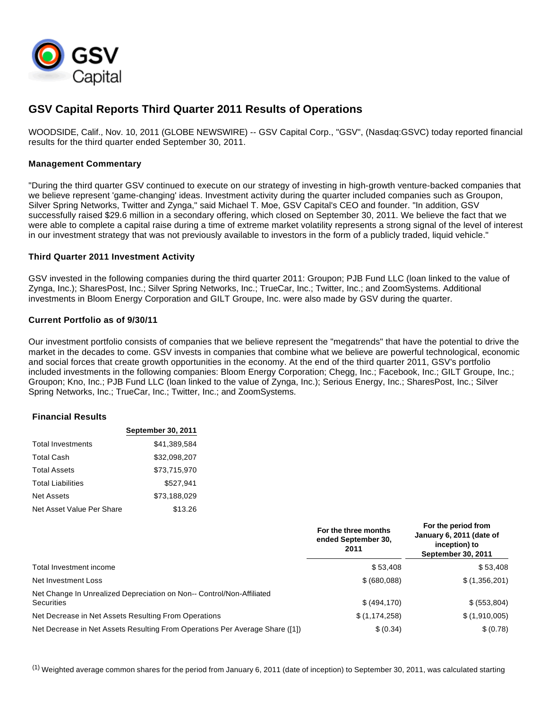

# **GSV Capital Reports Third Quarter 2011 Results of Operations**

WOODSIDE, Calif., Nov. 10, 2011 (GLOBE NEWSWIRE) -- GSV Capital Corp., "GSV", (Nasdaq:GSVC) today reported financial results for the third quarter ended September 30, 2011.

# **Management Commentary**

"During the third quarter GSV continued to execute on our strategy of investing in high-growth venture-backed companies that we believe represent 'game-changing' ideas. Investment activity during the quarter included companies such as Groupon, Silver Spring Networks, Twitter and Zynga," said Michael T. Moe, GSV Capital's CEO and founder. "In addition, GSV successfully raised \$29.6 million in a secondary offering, which closed on September 30, 2011. We believe the fact that we were able to complete a capital raise during a time of extreme market volatility represents a strong signal of the level of interest in our investment strategy that was not previously available to investors in the form of a publicly traded, liquid vehicle."

### **Third Quarter 2011 Investment Activity**

GSV invested in the following companies during the third quarter 2011: Groupon; PJB Fund LLC (loan linked to the value of Zynga, Inc.); SharesPost, Inc.; Silver Spring Networks, Inc.; TrueCar, Inc.; Twitter, Inc.; and ZoomSystems. Additional investments in Bloom Energy Corporation and GILT Groupe, Inc. were also made by GSV during the quarter.

### **Current Portfolio as of 9/30/11**

Our investment portfolio consists of companies that we believe represent the "megatrends" that have the potential to drive the market in the decades to come. GSV invests in companies that combine what we believe are powerful technological, economic and social forces that create growth opportunities in the economy. At the end of the third quarter 2011, GSV's portfolio included investments in the following companies: Bloom Energy Corporation; Chegg, Inc.; Facebook, Inc.; GILT Groupe, Inc.; Groupon; Kno, Inc.; PJB Fund LLC (loan linked to the value of Zynga, Inc.); Serious Energy, Inc.; SharesPost, Inc.; Silver Spring Networks, Inc.; TrueCar, Inc.; Twitter, Inc.; and ZoomSystems.

#### **Financial Results**

|                           | <b>September 30, 2011</b> |
|---------------------------|---------------------------|
| Total Investments         | \$41.389.584              |
| <b>Total Cash</b>         | \$32.098.207              |
| <b>Total Assets</b>       | \$73.715.970              |
| <b>Total Liabilities</b>  | \$527.941                 |
| Net Assets                | \$73.188.029              |
| Net Asset Value Per Share | \$13.26                   |

|                                                                                            | For the three months<br>ended September 30.<br>2011 | For the period from<br>January 6, 2011 (date of<br>inception) to<br>September 30, 2011 |
|--------------------------------------------------------------------------------------------|-----------------------------------------------------|----------------------------------------------------------------------------------------|
| Total Investment income                                                                    | \$53.408                                            | \$53,408                                                                               |
| Net Investment Loss                                                                        | \$ (680,088)                                        | \$(1,356,201)                                                                          |
| Net Change In Unrealized Depreciation on Non-- Control/Non-Affiliated<br><b>Securities</b> | \$ (494, 170)                                       | \$ (553,804)                                                                           |
| Net Decrease in Net Assets Resulting From Operations                                       | \$(1, 174, 258)                                     | \$(1,910,005)                                                                          |
| Net Decrease in Net Assets Resulting From Operations Per Average Share ([1])               | \$ (0.34)                                           | \$ (0.78)                                                                              |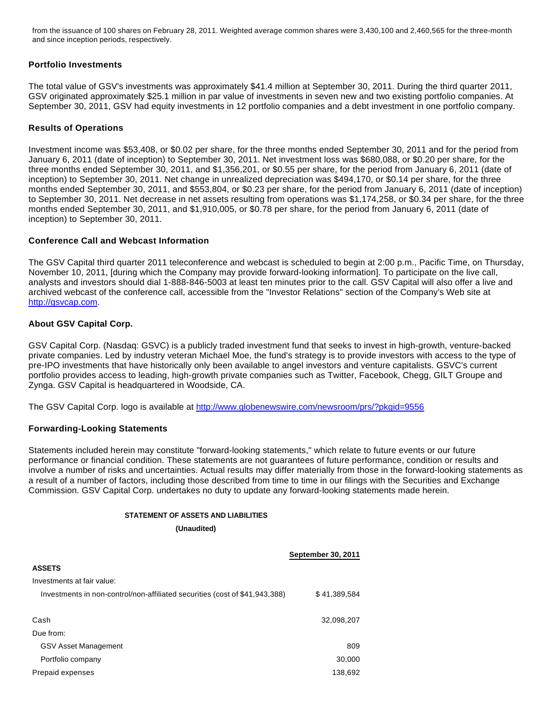from the issuance of 100 shares on February 28, 2011. Weighted average common shares were 3,430,100 and 2,460,565 for the three-month and since inception periods, respectively.

# **Portfolio Investments**

The total value of GSV's investments was approximately \$41.4 million at September 30, 2011. During the third quarter 2011, GSV originated approximately \$25.1 million in par value of investments in seven new and two existing portfolio companies. At September 30, 2011, GSV had equity investments in 12 portfolio companies and a debt investment in one portfolio company.

# **Results of Operations**

Investment income was \$53,408, or \$0.02 per share, for the three months ended September 30, 2011 and for the period from January 6, 2011 (date of inception) to September 30, 2011. Net investment loss was \$680,088, or \$0.20 per share, for the three months ended September 30, 2011, and \$1,356,201, or \$0.55 per share, for the period from January 6, 2011 (date of inception) to September 30, 2011. Net change in unrealized depreciation was \$494,170, or \$0.14 per share, for the three months ended September 30, 2011, and \$553,804, or \$0.23 per share, for the period from January 6, 2011 (date of inception) to September 30, 2011. Net decrease in net assets resulting from operations was \$1,174,258, or \$0.34 per share, for the three months ended September 30, 2011, and \$1,910,005, or \$0.78 per share, for the period from January 6, 2011 (date of inception) to September 30, 2011.

### **Conference Call and Webcast Information**

The GSV Capital third quarter 2011 teleconference and webcast is scheduled to begin at 2:00 p.m., Pacific Time, on Thursday, November 10, 2011, [during which the Company may provide forward-looking information]. To participate on the live call, analysts and investors should dial 1-888-846-5003 at least ten minutes prior to the call. GSV Capital will also offer a live and archived webcast of the conference call, accessible from the "Investor Relations" section of the Company's Web site at [http://gsvcap.com.](http://gsvcap.com/)

# **About GSV Capital Corp.**

GSV Capital Corp. (Nasdaq: GSVC) is a publicly traded investment fund that seeks to invest in high-growth, venture-backed private companies. Led by industry veteran Michael Moe, the fund's strategy is to provide investors with access to the type of pre-IPO investments that have historically only been available to angel investors and venture capitalists. GSVC's current portfolio provides access to leading, high-growth private companies such as Twitter, Facebook, Chegg, GILT Groupe and Zynga. GSV Capital is headquartered in Woodside, CA.

The GSV Capital Corp. logo is available at [http://www.globenewswire.com/newsroom/prs/?pkgid=9556](http://www.globenewswire.com/newsroom/ctr?d=238014&l=16&u=http%3A%2F%2Fwww.globenewswire.com%2Fnewsroom%2Fprs%2F%3Fpkgid%3D9556)

#### **Forwarding-Looking Statements**

Statements included herein may constitute "forward-looking statements," which relate to future events or our future performance or financial condition. These statements are not guarantees of future performance, condition or results and involve a number of risks and uncertainties. Actual results may differ materially from those in the forward-looking statements as a result of a number of factors, including those described from time to time in our filings with the Securities and Exchange Commission. GSV Capital Corp. undertakes no duty to update any forward-looking statements made herein.

#### **STATEMENT OF ASSETS AND LIABILITIES**

**(Unaudited)**

|                                                                             | <b>September 30, 2011</b> |
|-----------------------------------------------------------------------------|---------------------------|
| <b>ASSETS</b>                                                               |                           |
| Investments at fair value:                                                  |                           |
| Investments in non-control/non-affiliated securities (cost of \$41,943,388) | \$41,389,584              |
| Cash                                                                        | 32,098,207                |
| Due from:                                                                   |                           |
| <b>GSV Asset Management</b>                                                 | 809                       |
| Portfolio company                                                           | 30,000                    |
| Prepaid expenses                                                            | 138.692                   |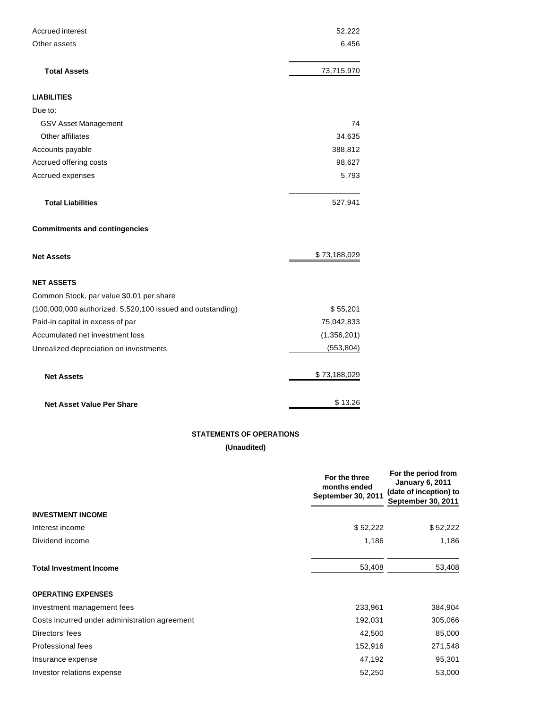| Accrued interest                                           | 52,222       |
|------------------------------------------------------------|--------------|
| Other assets                                               | 6,456        |
|                                                            |              |
| <b>Total Assets</b>                                        | 73,715,970   |
| <b>LIABILITIES</b>                                         |              |
| Due to:                                                    |              |
| <b>GSV Asset Management</b>                                | 74           |
| Other affiliates                                           | 34,635       |
| Accounts payable                                           | 388,812      |
| Accrued offering costs                                     | 98,627       |
| Accrued expenses                                           | 5,793        |
|                                                            |              |
| <b>Total Liabilities</b>                                   | 527,941      |
| <b>Commitments and contingencies</b>                       |              |
| <b>Net Assets</b>                                          | \$73,188,029 |
| <b>NET ASSETS</b>                                          |              |
| Common Stock, par value \$0.01 per share                   |              |
| (100,000,000 authorized; 5,520,100 issued and outstanding) | \$55,201     |
| Paid-in capital in excess of par                           | 75,042,833   |
| Accumulated net investment loss                            | (1,356,201)  |
| Unrealized depreciation on investments                     | (553, 804)   |
| <b>Net Assets</b>                                          | \$73,188,029 |
| <b>Net Asset Value Per Share</b>                           | \$13.26      |

# **STATEMENTS OF OPERATIONS**

**(Unaudited)**

|                                               | For the three<br>months ended<br>September 30, 2011 | For the period from<br><b>January 6, 2011</b><br>(date of inception) to<br>September 30, 2011 |  |
|-----------------------------------------------|-----------------------------------------------------|-----------------------------------------------------------------------------------------------|--|
| <b>INVESTMENT INCOME</b>                      |                                                     |                                                                                               |  |
| Interest income                               | \$52,222                                            | \$52,222                                                                                      |  |
| Dividend income                               | 1,186                                               | 1,186                                                                                         |  |
| <b>Total Investment Income</b>                | 53,408                                              | 53,408                                                                                        |  |
| <b>OPERATING EXPENSES</b>                     |                                                     |                                                                                               |  |
| Investment management fees                    | 233,961                                             | 384,904                                                                                       |  |
| Costs incurred under administration agreement | 192,031                                             | 305,066                                                                                       |  |
| Directors' fees                               | 42,500                                              | 85,000                                                                                        |  |
| Professional fees                             | 152,916                                             | 271,548                                                                                       |  |
| Insurance expense                             | 47,192                                              | 95,301                                                                                        |  |
| Investor relations expense                    | 52,250                                              | 53,000                                                                                        |  |
|                                               |                                                     |                                                                                               |  |